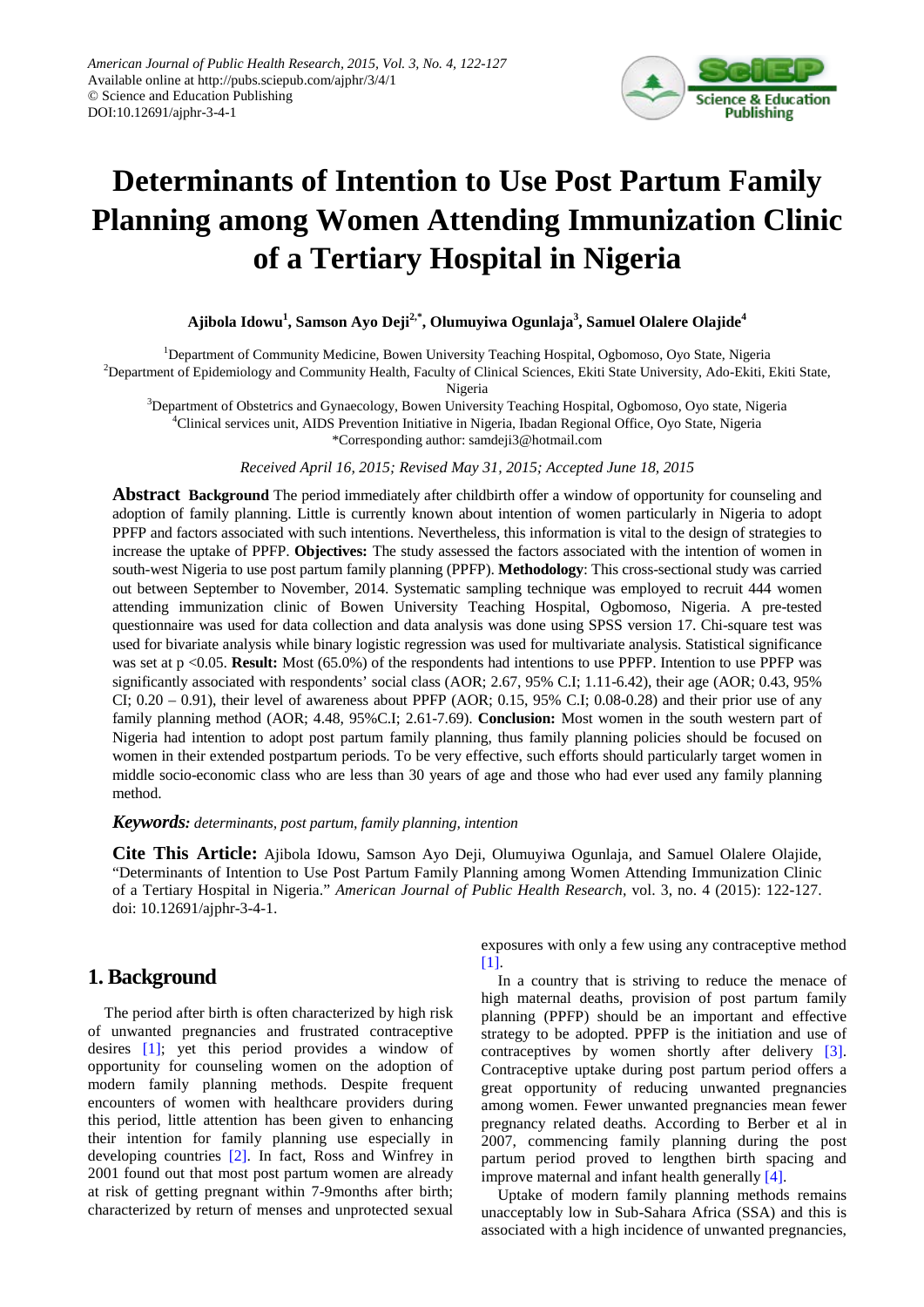

# **Determinants of Intention to Use Post Partum Family Planning among Women Attending Immunization Clinic of a Tertiary Hospital in Nigeria**

**Ajibola Idowu1 , Samson Ayo Deji2,\*, Olumuyiwa Ogunlaja3 , Samuel Olalere Olajide<sup>4</sup>**

<sup>1</sup>Department of Community Medicine, Bowen University Teaching Hospital, Ogbomoso, Oyo State, Nigeria

<sup>2</sup>Department of Epidemiology and Community Health, Faculty of Clinical Sciences, Ekiti State University, Ado-Ekiti, Ekiti State,

Nigeria

<sup>3</sup>Department of Obstetrics and Gynaecology, Bowen University Teaching Hospital, Ogbomoso, Oyo state, Nigeria 4 Clinical services unit, AIDS Prevention Initiative in Nigeria, Ibadan Regional Office, Oyo State, Nigeria \*Corresponding author: samdeji3@hotmail.com

*Received April 16, 2015; Revised May 31, 2015; Accepted June 18, 2015*

**Abstract Background** The period immediately after childbirth offer a window of opportunity for counseling and adoption of family planning. Little is currently known about intention of women particularly in Nigeria to adopt PPFP and factors associated with such intentions. Nevertheless, this information is vital to the design of strategies to increase the uptake of PPFP. **Objectives:** The study assessed the factors associated with the intention of women in south-west Nigeria to use post partum family planning (PPFP). **Methodology**: This cross-sectional study was carried out between September to November, 2014. Systematic sampling technique was employed to recruit 444 women attending immunization clinic of Bowen University Teaching Hospital, Ogbomoso, Nigeria. A pre-tested questionnaire was used for data collection and data analysis was done using SPSS version 17. Chi-square test was used for bivariate analysis while binary logistic regression was used for multivariate analysis. Statistical significance was set at p <0.05. **Result:** Most (65.0%) of the respondents had intentions to use PPFP. Intention to use PPFP was significantly associated with respondents' social class (AOR; 2.67, 95% C.I; 1.11-6.42), their age (AOR; 0.43, 95% CI;  $0.20 - 0.91$ ), their level of awareness about PPFP (AOR; 0.15, 95% C.I; 0.08-0.28) and their prior use of any family planning method (AOR; 4.48, 95%C.I; 2.61-7.69). **Conclusion:** Most women in the south western part of Nigeria had intention to adopt post partum family planning, thus family planning policies should be focused on women in their extended postpartum periods. To be very effective, such efforts should particularly target women in middle socio-economic class who are less than 30 years of age and those who had ever used any family planning method.

#### *Keywords: determinants, post partum, family planning, intention*

**Cite This Article:** Ajibola Idowu, Samson Ayo Deji, Olumuyiwa Ogunlaja, and Samuel Olalere Olajide, "Determinants of Intention to Use Post Partum Family Planning among Women Attending Immunization Clinic of a Tertiary Hospital in Nigeria." *American Journal of Public Health Research,* vol. 3, no. 4 (2015): 122-127. doi: 10.12691/ajphr-3-4-1.

# **1. Background**

The period after birth is often characterized by high risk of unwanted pregnancies and frustrated contraceptive desires [\[1\];](#page-5-0) yet this period provides a window of opportunity for counseling women on the adoption of modern family planning methods. Despite frequent encounters of women with healthcare providers during this period, little attention has been given to enhancing their intention for family planning use especially in developing countries [\[2\].](#page-5-1) In fact, Ross and Winfrey in 2001 found out that most post partum women are already at risk of getting pregnant within 7-9months after birth; characterized by return of menses and unprotected sexual

exposures with only a few using any contraceptive method [\[1\].](#page-5-0)

In a country that is striving to reduce the menace of high maternal deaths, provision of post partum family planning (PPFP) should be an important and effective strategy to be adopted. PPFP is the initiation and use of contraceptives by women shortly after delivery [\[3\].](#page-5-2) Contraceptive uptake during post partum period offers a great opportunity of reducing unwanted pregnancies among women. Fewer unwanted pregnancies mean fewer pregnancy related deaths. According to Berber et al in 2007, commencing family planning during the post partum period proved to lengthen birth spacing and improve maternal and infant health generally [\[4\].](#page-5-3)

Uptake of modern family planning methods remains unacceptably low in Sub-Sahara Africa (SSA) and this is associated with a high incidence of unwanted pregnancies,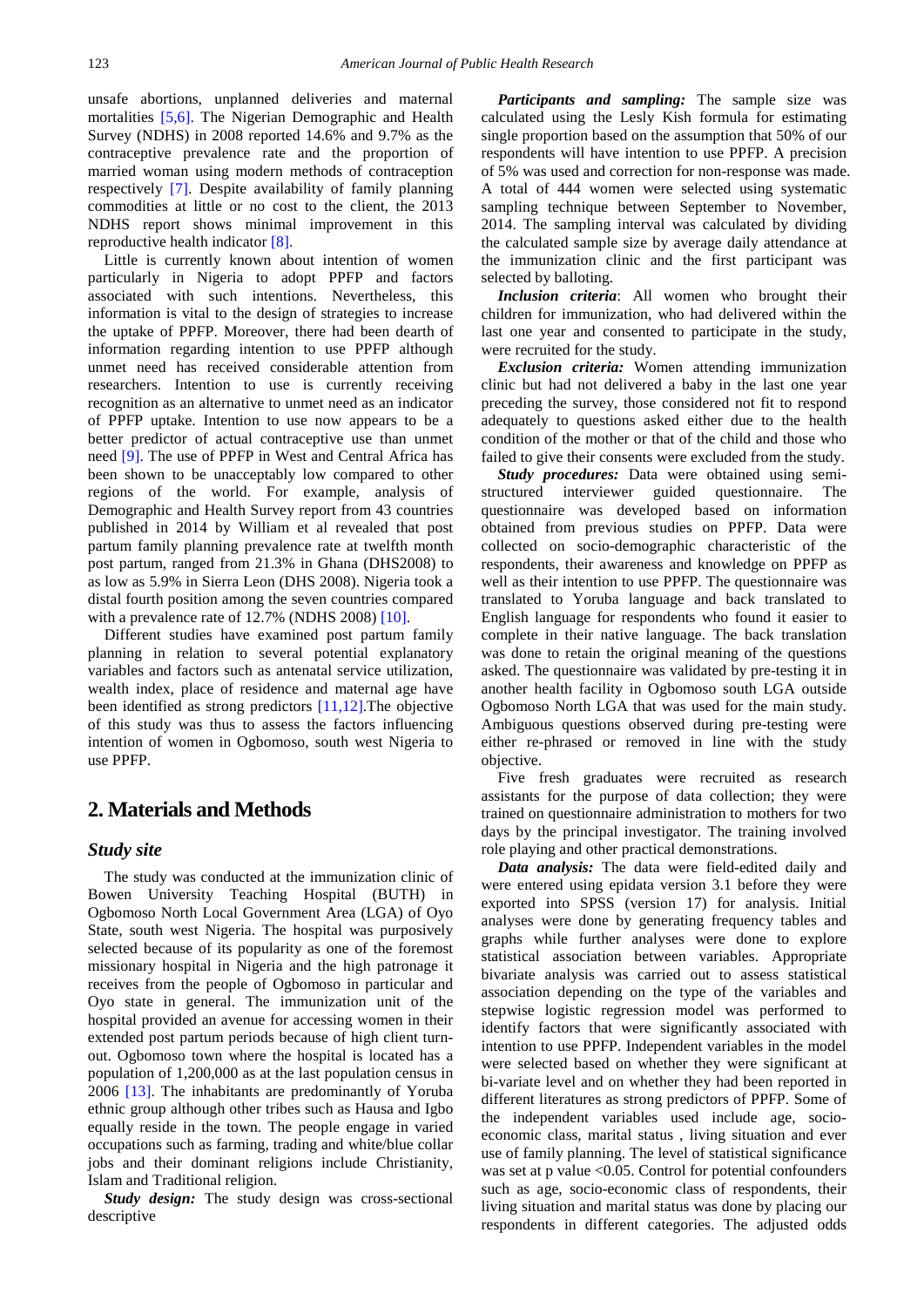unsafe abortions, unplanned deliveries and maternal mortalities [\[5,6\].](#page-5-4) The Nigerian Demographic and Health Survey (NDHS) in 2008 reported 14.6% and 9.7% as the contraceptive prevalence rate and the proportion of married woman using modern methods of contraception respectively [\[7\].](#page-5-5) Despite availability of family planning commodities at little or no cost to the client, the 2013 NDHS report shows minimal improvement in this reproductive health indicato[r \[8\].](#page-5-6)

Little is currently known about intention of women particularly in Nigeria to adopt PPFP and factors associated with such intentions. Nevertheless, this information is vital to the design of strategies to increase the uptake of PPFP. Moreover, there had been dearth of information regarding intention to use PPFP although unmet need has received considerable attention from researchers. Intention to use is currently receiving recognition as an alternative to unmet need as an indicator of PPFP uptake. Intention to use now appears to be a better predictor of actual contraceptive use than unmet need [\[9\].](#page-5-7) The use of PPFP in West and Central Africa has been shown to be unacceptably low compared to other regions of the world. For example, analysis of Demographic and Health Survey report from 43 countries published in 2014 by William et al revealed that post partum family planning prevalence rate at twelfth month post partum, ranged from 21.3% in Ghana (DHS2008) to as low as 5.9% in Sierra Leon (DHS 2008). Nigeria took a distal fourth position among the seven countries compared with a prevalence rate of 12.7% (NDHS 2008) [\[10\].](#page-5-8)

Different studies have examined post partum family planning in relation to several potential explanatory variables and factors such as antenatal service utilization, wealth index, place of residence and maternal age have been identified as strong predictors [\[11,12\].](#page-5-9)The objective of this study was thus to assess the factors influencing intention of women in Ogbomoso, south west Nigeria to use PPFP.

# **2. Materials and Methods**

#### *Study site*

The study was conducted at the immunization clinic of Bowen University Teaching Hospital (BUTH) in Ogbomoso North Local Government Area (LGA) of Oyo State, south west Nigeria. The hospital was purposively selected because of its popularity as one of the foremost missionary hospital in Nigeria and the high patronage it receives from the people of Ogbomoso in particular and Oyo state in general. The immunization unit of the hospital provided an avenue for accessing women in their extended post partum periods because of high client turnout. Ogbomoso town where the hospital is located has a population of 1,200,000 as at the last population census in 2006 [\[13\].](#page-5-10) The inhabitants are predominantly of Yoruba ethnic group although other tribes such as Hausa and Igbo equally reside in the town. The people engage in varied occupations such as farming, trading and white/blue collar jobs and their dominant religions include Christianity, Islam and Traditional religion.

*Study design:* The study design was cross-sectional descriptive

*Participants and sampling:* The sample size was calculated using the Lesly Kish formula for estimating single proportion based on the assumption that 50% of our respondents will have intention to use PPFP. A precision of 5% was used and correction for non-response was made. A total of 444 women were selected using systematic sampling technique between September to November, 2014. The sampling interval was calculated by dividing the calculated sample size by average daily attendance at the immunization clinic and the first participant was selected by balloting.

*Inclusion criteria*: All women who brought their children for immunization, who had delivered within the last one year and consented to participate in the study, were recruited for the study.

*Exclusion criteria:* Women attending immunization clinic but had not delivered a baby in the last one year preceding the survey, those considered not fit to respond adequately to questions asked either due to the health condition of the mother or that of the child and those who failed to give their consents were excluded from the study.

*Study procedures:* Data were obtained using semistructured interviewer guided questionnaire. The questionnaire was developed based on information obtained from previous studies on PPFP. Data were collected on socio-demographic characteristic of the respondents, their awareness and knowledge on PPFP as well as their intention to use PPFP. The questionnaire was translated to Yoruba language and back translated to English language for respondents who found it easier to complete in their native language. The back translation was done to retain the original meaning of the questions asked. The questionnaire was validated by pre-testing it in another health facility in Ogbomoso south LGA outside Ogbomoso North LGA that was used for the main study. Ambiguous questions observed during pre-testing were either re-phrased or removed in line with the study objective.

Five fresh graduates were recruited as research assistants for the purpose of data collection; they were trained on questionnaire administration to mothers for two days by the principal investigator. The training involved role playing and other practical demonstrations.

*Data analysis:* The data were field-edited daily and were entered using epidata version 3.1 before they were exported into SPSS (version 17) for analysis. Initial analyses were done by generating frequency tables and graphs while further analyses were done to explore statistical association between variables. Appropriate bivariate analysis was carried out to assess statistical association depending on the type of the variables and stepwise logistic regression model was performed to identify factors that were significantly associated with intention to use PPFP. Independent variables in the model were selected based on whether they were significant at bi-variate level and on whether they had been reported in different literatures as strong predictors of PPFP. Some of the independent variables used include age, socioeconomic class, marital status , living situation and ever use of family planning. The level of statistical significance was set at  $p$  value  $\leq 0.05$ . Control for potential confounders such as age, socio-economic class of respondents, their living situation and marital status was done by placing our respondents in different categories. The adjusted odds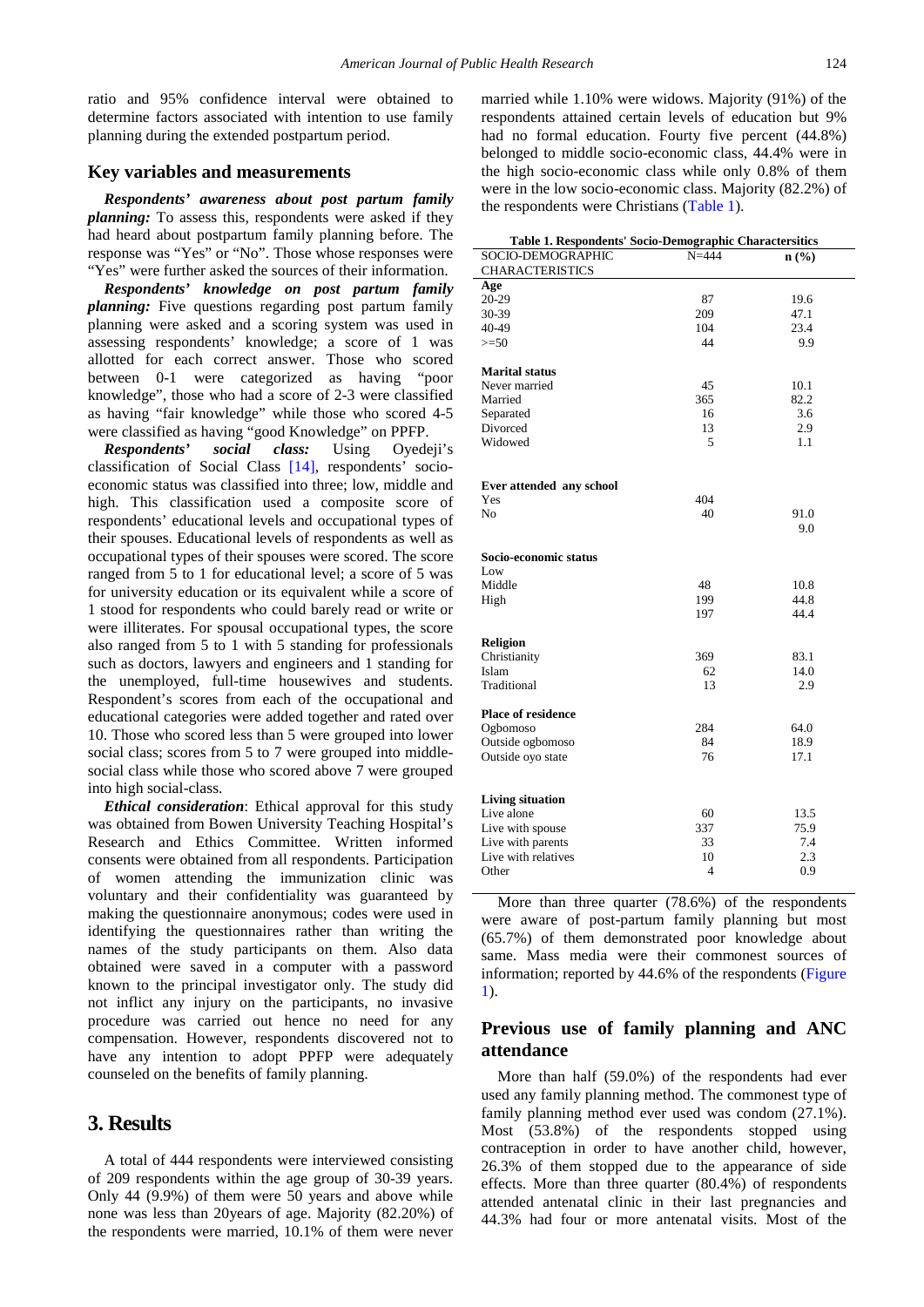ratio and 95% confidence interval were obtained to determine factors associated with intention to use family planning during the extended postpartum period.

#### **Key variables and measurements**

*Respondents' awareness about post partum family planning:* To assess this, respondents were asked if they had heard about postpartum family planning before. The response was "Yes" or "No". Those whose responses were "Yes" were further asked the sources of their information.

*Respondents' knowledge on post partum family planning:* Five questions regarding post partum family planning were asked and a scoring system was used in assessing respondents' knowledge; a score of 1 was allotted for each correct answer. Those who scored between 0-1 were categorized as having "poor knowledge", those who had a score of 2-3 were classified as having "fair knowledge" while those who scored 4-5 were classified as having "good Knowledge" on PPFP.

*Respondents' social class:* Using Oyedeji's classification of Social Class [\[14\],](#page-5-11) respondents' socioeconomic status was classified into three; low, middle and high. This classification used a composite score of respondents' educational levels and occupational types of their spouses. Educational levels of respondents as well as occupational types of their spouses were scored. The score ranged from 5 to 1 for educational level; a score of 5 was for university education or its equivalent while a score of 1 stood for respondents who could barely read or write or were illiterates. For spousal occupational types, the score also ranged from 5 to 1 with 5 standing for professionals such as doctors, lawyers and engineers and 1 standing for the unemployed, full-time housewives and students. Respondent's scores from each of the occupational and educational categories were added together and rated over 10. Those who scored less than 5 were grouped into lower social class; scores from 5 to 7 were grouped into middlesocial class while those who scored above 7 were grouped into high social-class.

*Ethical consideration*: Ethical approval for this study was obtained from Bowen University Teaching Hospital's Research and Ethics Committee. Written informed consents were obtained from all respondents. Participation of women attending the immunization clinic was voluntary and their confidentiality was guaranteed by making the questionnaire anonymous; codes were used in identifying the questionnaires rather than writing the names of the study participants on them. Also data obtained were saved in a computer with a password known to the principal investigator only. The study did not inflict any injury on the participants, no invasive procedure was carried out hence no need for any compensation. However, respondents discovered not to have any intention to adopt PPFP were adequately counseled on the benefits of family planning.

# **3. Results**

A total of 444 respondents were interviewed consisting of 209 respondents within the age group of 30-39 years. Only 44 (9.9%) of them were 50 years and above while none was less than 20years of age. Majority (82.20%) of the respondents were married, 10.1% of them were never

married while 1.10% were widows. Majority (91%) of the respondents attained certain levels of education but 9% had no formal education. Fourty five percent (44.8%) belonged to middle socio-economic class, 44.4% were in the high socio-economic class while only 0.8% of them were in the low socio-economic class. Majority (82.2%) of the respondents were Christians [\(Table 1\)](#page-2-0).

<span id="page-2-0"></span>

| Table 1. Respondents' Socio-Demographic Charactersitics |           |              |  |  |  |
|---------------------------------------------------------|-----------|--------------|--|--|--|
| SOCIO-DEMOGRAPHIC                                       | $N = 444$ | n(%)         |  |  |  |
| <b>CHARACTERISTICS</b>                                  |           |              |  |  |  |
| Age                                                     |           |              |  |  |  |
| 20-29                                                   | 87        | 19.6         |  |  |  |
| 30-39                                                   | 209       | 47.1         |  |  |  |
| 40-49                                                   | 104       | 23.4         |  |  |  |
| $>=50$                                                  | 44        | 9.9          |  |  |  |
|                                                         |           |              |  |  |  |
| <b>Marital status</b>                                   |           |              |  |  |  |
| Never married                                           | 45        | 10.1         |  |  |  |
| Married                                                 | 365       | 82.2         |  |  |  |
| Separated                                               | 16        | 3.6          |  |  |  |
| Divorced                                                | 13        | 2.9          |  |  |  |
| Widowed                                                 | 5         | 1.1          |  |  |  |
|                                                         |           |              |  |  |  |
| Ever attended any school                                |           |              |  |  |  |
| Yes                                                     | 404       |              |  |  |  |
| No                                                      | 40        | 91.0         |  |  |  |
|                                                         |           | 9.0          |  |  |  |
|                                                         |           |              |  |  |  |
| Socio-economic status                                   |           |              |  |  |  |
| Low                                                     |           |              |  |  |  |
| Middle                                                  | 48        | 10.8         |  |  |  |
| High                                                    | 199       | 44.8         |  |  |  |
|                                                         | 197       | 44.4         |  |  |  |
|                                                         |           |              |  |  |  |
| Religion                                                |           |              |  |  |  |
| Christianity                                            | 369       | 83.1         |  |  |  |
| Islam                                                   | 62        | 14.0         |  |  |  |
| Traditional                                             | 13        | 2.9          |  |  |  |
|                                                         |           |              |  |  |  |
| <b>Place of residence</b>                               | 284       |              |  |  |  |
| Ogbomoso<br>Outside ogbomoso                            | 84        | 64.0<br>18.9 |  |  |  |
|                                                         |           |              |  |  |  |
| Outside oyo state                                       | 76        | 17.1         |  |  |  |
|                                                         |           |              |  |  |  |
| <b>Living situation</b>                                 |           |              |  |  |  |
| Live alone                                              | 60        | 13.5         |  |  |  |
| Live with spouse                                        | 337       | 75.9         |  |  |  |
| Live with parents                                       | 33        | 7.4          |  |  |  |
| Live with relatives                                     | 10        | 2.3          |  |  |  |
| Other                                                   | 4         | 0.9          |  |  |  |
|                                                         |           |              |  |  |  |

More than three quarter (78.6%) of the respondents were aware of post-partum family planning but most (65.7%) of them demonstrated poor knowledge about same. Mass media were their commonest sources of information; reported by 44.6% of the respondents [\(Figure](#page-3-0)  [1\)](#page-3-0).

### **Previous use of family planning and ANC attendance**

More than half (59.0%) of the respondents had ever used any family planning method. The commonest type of family planning method ever used was condom (27.1%). Most (53.8%) of the respondents stopped using contraception in order to have another child, however, 26.3% of them stopped due to the appearance of side effects. More than three quarter (80.4%) of respondents attended antenatal clinic in their last pregnancies and 44.3% had four or more antenatal visits. Most of the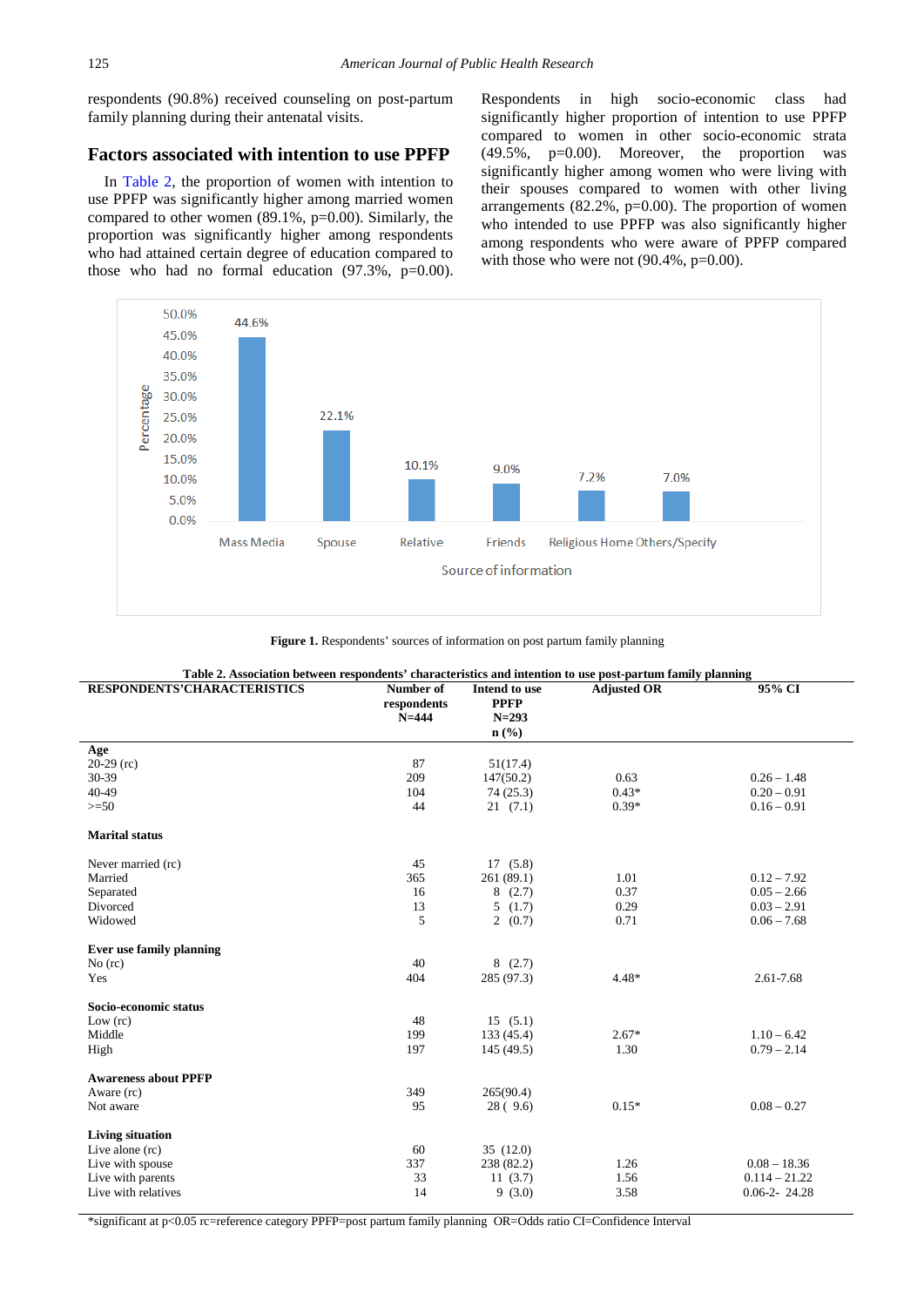respondents (90.8%) received counseling on post-partum family planning during their antenatal visits.

#### **Factors associated with intention to use PPFP**

In [Table 2,](#page-3-1) the proportion of women with intention to use PPFP was significantly higher among married women compared to other women (89.1%, p=0.00). Similarly, the proportion was significantly higher among respondents who had attained certain degree of education compared to those who had no formal education  $(97.3\%, p=0.00)$ .

Respondents in high socio-economic class had significantly higher proportion of intention to use PPFP compared to women in other socio-economic strata (49.5%, p=0.00). Moreover, the proportion was significantly higher among women who were living with their spouses compared to women with other living arrangements  $(82.2\%, p=0.00)$ . The proportion of women who intended to use PPFP was also significantly higher among respondents who were aware of PPFP compared with those who were not  $(90.4\%, p=0.00)$ .

<span id="page-3-0"></span>

**Figure 1.** Respondents' sources of information on post partum family planning

<span id="page-3-1"></span>

| Table 2. Association between respondents' characteristics and intention to use post-partum family planning |                                       |                                                                          |                    |                    |  |
|------------------------------------------------------------------------------------------------------------|---------------------------------------|--------------------------------------------------------------------------|--------------------|--------------------|--|
| <b>RESPONDENTS'CHARACTERISTICS</b>                                                                         | Number of<br>respondents<br>$N = 444$ | Intend to use<br><b>PPFP</b><br>$N = 293$<br>$n\left(\frac{0}{0}\right)$ | <b>Adjusted OR</b> | 95% CI             |  |
| Age                                                                                                        |                                       |                                                                          |                    |                    |  |
| $20-29$ (rc)                                                                                               | 87                                    | 51(17.4)                                                                 |                    |                    |  |
| 30-39                                                                                                      | 209                                   | 147(50.2)                                                                | 0.63               | $0.26 - 1.48$      |  |
| 40-49                                                                                                      | 104                                   | 74(25.3)                                                                 | $0.43*$            | $0.20 - 0.91$      |  |
| $>=$ 50                                                                                                    | 44                                    | 21(7.1)                                                                  | $0.39*$            | $0.16 - 0.91$      |  |
| <b>Marital status</b>                                                                                      |                                       |                                                                          |                    |                    |  |
| Never married (rc)                                                                                         | 45                                    | 17(5.8)                                                                  |                    |                    |  |
| Married                                                                                                    | 365                                   | 261 (89.1)                                                               | 1.01               | $0.12 - 7.92$      |  |
| Separated                                                                                                  | 16                                    | 8(2.7)                                                                   | 0.37               | $0.05 - 2.66$      |  |
| Divorced                                                                                                   | 13                                    | 5(1.7)                                                                   | 0.29               | $0.03 - 2.91$      |  |
| Widowed                                                                                                    | 5                                     | 2(0.7)                                                                   | 0.71               | $0.06 - 7.68$      |  |
| Ever use family planning                                                                                   |                                       |                                                                          |                    |                    |  |
| $No$ (rc)                                                                                                  | 40                                    | 8(2.7)                                                                   |                    |                    |  |
| Yes                                                                                                        | 404                                   | 285 (97.3)                                                               | $4.48*$            | 2.61-7.68          |  |
| Socio-economic status                                                                                      |                                       |                                                                          |                    |                    |  |
| Low (rc)                                                                                                   | 48                                    | 15(5.1)                                                                  |                    |                    |  |
| Middle                                                                                                     | 199                                   | 133 (45.4)                                                               | $2.67*$            | $1.10 - 6.42$      |  |
| High                                                                                                       | 197                                   | 145 (49.5)                                                               | 1.30               | $0.79 - 2.14$      |  |
| <b>Awareness about PPFP</b>                                                                                |                                       |                                                                          |                    |                    |  |
| Aware (rc)                                                                                                 | 349                                   | 265(90.4)                                                                |                    |                    |  |
| Not aware                                                                                                  | 95                                    | 28(9.6)                                                                  | $0.15*$            | $0.08 - 0.27$      |  |
| <b>Living situation</b>                                                                                    |                                       |                                                                          |                    |                    |  |
| Live alone $(rc)$                                                                                          | 60                                    | 35(12.0)                                                                 |                    |                    |  |
| Live with spouse                                                                                           | 337                                   | 238 (82.2)                                                               | 1.26               | $0.08 - 18.36$     |  |
| Live with parents                                                                                          | 33                                    | 11(3.7)                                                                  | 1.56               | $0.114 - 21.22$    |  |
| Live with relatives                                                                                        | 14                                    | 9(3.0)                                                                   | 3.58               | $0.06 - 2 - 24.28$ |  |
|                                                                                                            |                                       |                                                                          |                    |                    |  |

\*significant at p<0.05 rc=reference category PPFP=post partum family planning OR=Odds ratio CI=Confidence Interval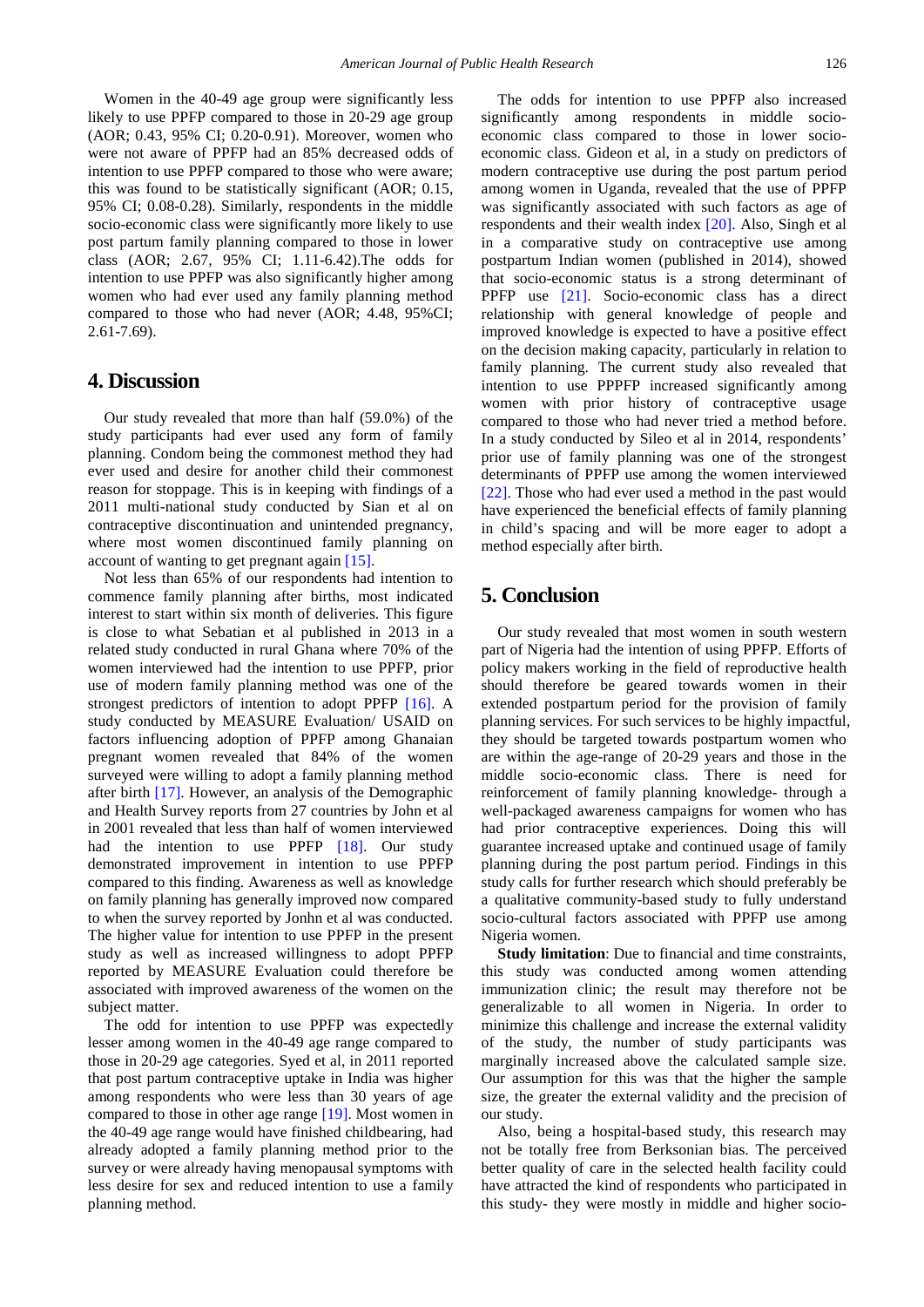Women in the 40-49 age group were significantly less likely to use PPFP compared to those in 20-29 age group (AOR; 0.43, 95% CI; 0.20-0.91). Moreover, women who were not aware of PPFP had an 85% decreased odds of intention to use PPFP compared to those who were aware; this was found to be statistically significant (AOR; 0.15, 95% CI; 0.08-0.28). Similarly, respondents in the middle socio-economic class were significantly more likely to use post partum family planning compared to those in lower class (AOR; 2.67, 95% CI; 1.11-6.42).The odds for intention to use PPFP was also significantly higher among women who had ever used any family planning method compared to those who had never (AOR; 4.48, 95%CI; 2.61-7.69).

### **4. Discussion**

Our study revealed that more than half (59.0%) of the study participants had ever used any form of family planning. Condom being the commonest method they had ever used and desire for another child their commonest reason for stoppage. This is in keeping with findings of a 2011 multi-national study conducted by Sian et al on contraceptive discontinuation and unintended pregnancy, where most women discontinued family planning on account of wanting to get pregnant again [\[15\].](#page-5-12)

Not less than 65% of our respondents had intention to commence family planning after births, most indicated interest to start within six month of deliveries. This figure is close to what Sebatian et al published in 2013 in a related study conducted in rural Ghana where 70% of the women interviewed had the intention to use PPFP, prior use of modern family planning method was one of the strongest predictors of intention to adopt PPFP [\[16\].](#page-5-13) A study conducted by MEASURE Evaluation/ USAID on factors influencing adoption of PPFP among Ghanaian pregnant women revealed that 84% of the women surveyed were willing to adopt a family planning method after birth [\[17\].](#page-5-14) However, an analysis of the Demographic and Health Survey reports from 27 countries by John et al in 2001 revealed that less than half of women interviewed had the intention to use PPFP [\[18\].](#page-5-15) Our study demonstrated improvement in intention to use PPFP compared to this finding. Awareness as well as knowledge on family planning has generally improved now compared to when the survey reported by Jonhn et al was conducted. The higher value for intention to use PPFP in the present study as well as increased willingness to adopt PPFP reported by MEASURE Evaluation could therefore be associated with improved awareness of the women on the subject matter.

The odd for intention to use PPFP was expectedly lesser among women in the 40-49 age range compared to those in 20-29 age categories. Syed et al, in 2011 reported that post partum contraceptive uptake in India was higher among respondents who were less than 30 years of age compared to those in other age range [\[19\].](#page-5-16) Most women in the 40-49 age range would have finished childbearing, had already adopted a family planning method prior to the survey or were already having menopausal symptoms with less desire for sex and reduced intention to use a family planning method.

The odds for intention to use PPFP also increased significantly among respondents in middle socioeconomic class compared to those in lower socioeconomic class. Gideon et al, in a study on predictors of modern contraceptive use during the post partum period among women in Uganda, revealed that the use of PPFP was significantly associated with such factors as age of respondents and their wealth index [\[20\].](#page-5-17) Also, Singh et al in a comparative study on contraceptive use among postpartum Indian women (published in 2014), showed that socio-economic status is a strong determinant of PPFP use [\[21\].](#page-5-18) Socio-economic class has a direct relationship with general knowledge of people and improved knowledge is expected to have a positive effect on the decision making capacity, particularly in relation to family planning. The current study also revealed that intention to use PPPFP increased significantly among women with prior history of contraceptive usage compared to those who had never tried a method before. In a study conducted by Sileo et al in 2014, respondents' prior use of family planning was one of the strongest determinants of PPFP use among the women interviewed [\[22\].](#page-5-19) Those who had ever used a method in the past would have experienced the beneficial effects of family planning in child's spacing and will be more eager to adopt a method especially after birth.

# **5. Conclusion**

Our study revealed that most women in south western part of Nigeria had the intention of using PPFP. Efforts of policy makers working in the field of reproductive health should therefore be geared towards women in their extended postpartum period for the provision of family planning services. For such services to be highly impactful, they should be targeted towards postpartum women who are within the age-range of 20-29 years and those in the middle socio-economic class. There is need for reinforcement of family planning knowledge- through a well-packaged awareness campaigns for women who has had prior contraceptive experiences. Doing this will guarantee increased uptake and continued usage of family planning during the post partum period. Findings in this study calls for further research which should preferably be a qualitative community-based study to fully understand socio-cultural factors associated with PPFP use among Nigeria women.

**Study limitation**: Due to financial and time constraints, this study was conducted among women attending immunization clinic; the result may therefore not be generalizable to all women in Nigeria. In order to minimize this challenge and increase the external validity of the study, the number of study participants was marginally increased above the calculated sample size. Our assumption for this was that the higher the sample size, the greater the external validity and the precision of our study.

Also, being a hospital-based study, this research may not be totally free from Berksonian bias. The perceived better quality of care in the selected health facility could have attracted the kind of respondents who participated in this study- they were mostly in middle and higher socio